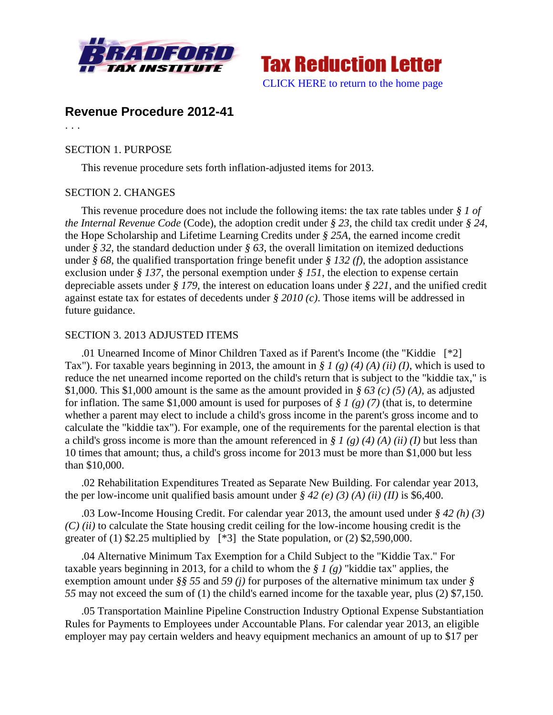



# **Revenue Procedure 2012-41**

. . .

### SECTION 1. PURPOSE

This revenue procedure sets forth inflation-adjusted items for 2013.

## SECTION 2. CHANGES

This revenue procedure does not include the following items: the tax rate tables under *§ 1 of the Internal Revenue Code* (Code), the adoption credit under *§ 23*, the child tax credit under *§ 24*, the Hope Scholarship and Lifetime Learning Credits under *§ 25A*, the earned income credit under *§ 32*, the standard deduction under *§ 63*, the overall limitation on itemized deductions under *§ 68*, the qualified transportation fringe benefit under *§ 132 (f)*, the adoption assistance exclusion under *§ 137*, the personal exemption under *§ 151*, the election to expense certain depreciable assets under *§ 179*, the interest on education loans under *§ 221*, and the unified credit against estate tax for estates of decedents under *§ 2010 (c)*. Those items will be addressed in future guidance.

## SECTION 3. 2013 ADJUSTED ITEMS

.01 Unearned Income of Minor Children Taxed as if Parent's Income (the "Kiddie [\*2] Tax"). For taxable years beginning in 2013, the amount in *§ 1 (g) (4) (A) (ii) (I)*, which is used to reduce the net unearned income reported on the child's return that is subject to the "kiddie tax," is \$1,000. This \$1,000 amount is the same as the amount provided in *§ 63 (c) (5) (A)*, as adjusted for inflation. The same \$1,000 amount is used for purposes of *§ 1 (g) (7)* (that is, to determine whether a parent may elect to include a child's gross income in the parent's gross income and to calculate the "kiddie tax"). For example, one of the requirements for the parental election is that a child's gross income is more than the amount referenced in *§ 1 (g) (4) (A) (ii) (I)* but less than 10 times that amount; thus, a child's gross income for 2013 must be more than \$1,000 but less than \$10,000.

.02 Rehabilitation Expenditures Treated as Separate New Building. For calendar year 2013, the per low-income unit qualified basis amount under  $\frac{6}{5}$  42 (e) (3) (A) (ii) (II) is \$6,400.

.03 Low-Income Housing Credit. For calendar year 2013, the amount used under *§ 42 (h) (3) (C) (ii)* to calculate the State housing credit ceiling for the low-income housing credit is the greater of (1)  $$2.25$  multiplied by [\*3] the State population, or (2)  $$2,590,000$ .

.04 Alternative Minimum Tax Exemption for a Child Subject to the "Kiddie Tax." For taxable years beginning in 2013, for a child to whom the *§ 1 (g)* "kiddie tax" applies, the exemption amount under *§§ 55* and *59 (j)* for purposes of the alternative minimum tax under *§ 55* may not exceed the sum of (1) the child's earned income for the taxable year, plus (2) \$7,150.

.05 Transportation Mainline Pipeline Construction Industry Optional Expense Substantiation Rules for Payments to Employees under Accountable Plans. For calendar year 2013, an eligible employer may pay certain welders and heavy equipment mechanics an amount of up to \$17 per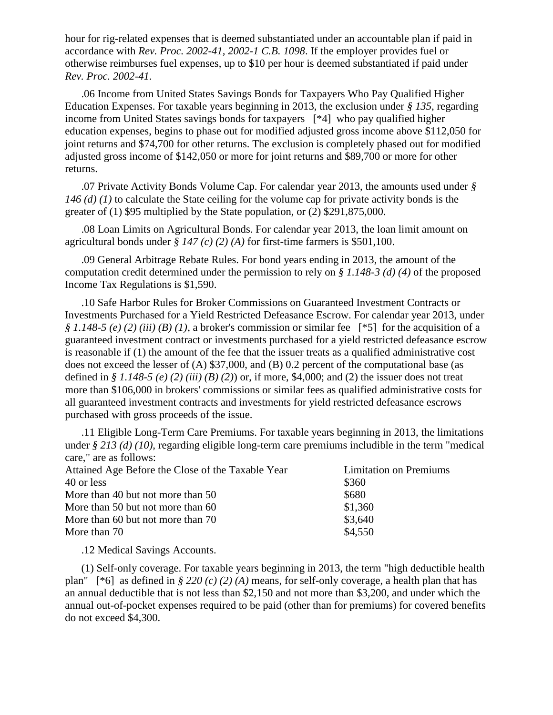hour for rig-related expenses that is deemed substantiated under an accountable plan if paid in accordance with *Rev. Proc. 2002-41, 2002-1 C.B. 1098*. If the employer provides fuel or otherwise reimburses fuel expenses, up to \$10 per hour is deemed substantiated if paid under *Rev. Proc. 2002-41*.

.06 Income from United States Savings Bonds for Taxpayers Who Pay Qualified Higher Education Expenses. For taxable years beginning in 2013, the exclusion under *§ 135*, regarding income from United States savings bonds for taxpayers [\*4] who pay qualified higher education expenses, begins to phase out for modified adjusted gross income above \$112,050 for joint returns and \$74,700 for other returns. The exclusion is completely phased out for modified adjusted gross income of \$142,050 or more for joint returns and \$89,700 or more for other returns.

.07 Private Activity Bonds Volume Cap. For calendar year 2013, the amounts used under *§ 146 (d) (1)* to calculate the State ceiling for the volume cap for private activity bonds is the greater of (1) \$95 multiplied by the State population, or (2) \$291,875,000.

.08 Loan Limits on Agricultural Bonds. For calendar year 2013, the loan limit amount on agricultural bonds under *§ 147 (c) (2) (A)* for first-time farmers is \$501,100.

.09 General Arbitrage Rebate Rules. For bond years ending in 2013, the amount of the computation credit determined under the permission to rely on *§ 1.148-3 (d) (4)* of the proposed Income Tax Regulations is \$1,590.

.10 Safe Harbor Rules for Broker Commissions on Guaranteed Investment Contracts or Investments Purchased for a Yield Restricted Defeasance Escrow. For calendar year 2013, under *§ 1.148-5 (e) (2) (iii) (B) (1)*, a broker's commission or similar fee [\*5] for the acquisition of a guaranteed investment contract or investments purchased for a yield restricted defeasance escrow is reasonable if (1) the amount of the fee that the issuer treats as a qualified administrative cost does not exceed the lesser of (A) \$37,000, and (B) 0.2 percent of the computational base (as defined in *§ 1.148-5 (e) (2) (iii) (B) (2)*) or, if more, \$4,000; and (2) the issuer does not treat more than \$106,000 in brokers' commissions or similar fees as qualified administrative costs for all guaranteed investment contracts and investments for yield restricted defeasance escrows purchased with gross proceeds of the issue.

.11 Eligible Long-Term Care Premiums. For taxable years beginning in 2013, the limitations under *§ 213 (d) (10)*, regarding eligible long-term care premiums includible in the term "medical care," are as follows:

| Attained Age Before the Close of the Taxable Year | <b>Limitation on Premiums</b> |
|---------------------------------------------------|-------------------------------|
| 40 or less                                        | \$360                         |
| More than 40 but not more than 50                 | \$680                         |
| More than 50 but not more than 60                 | \$1,360                       |
| More than 60 but not more than 70                 | \$3,640                       |
| More than 70                                      | \$4,550                       |

.12 Medical Savings Accounts.

(1) Self-only coverage. For taxable years beginning in 2013, the term "high deductible health plan" [\*6] as defined in *§ 220 (c) (2) (A)* means, for self-only coverage, a health plan that has an annual deductible that is not less than \$2,150 and not more than \$3,200, and under which the annual out-of-pocket expenses required to be paid (other than for premiums) for covered benefits do not exceed \$4,300.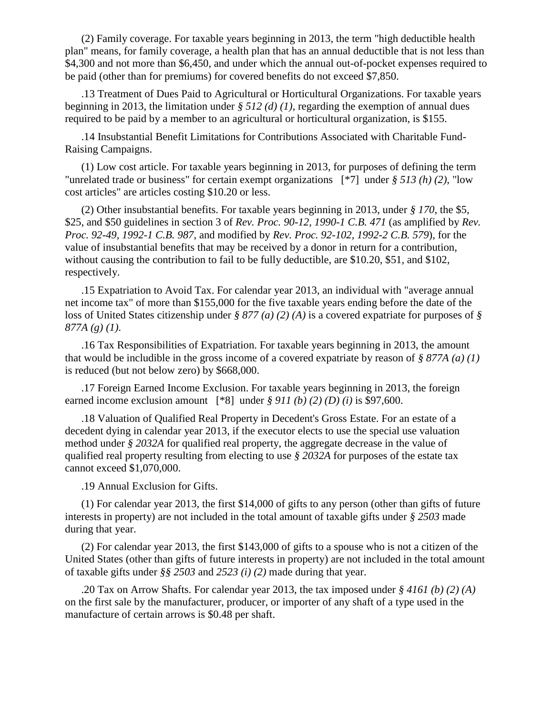(2) Family coverage. For taxable years beginning in 2013, the term "high deductible health plan" means, for family coverage, a health plan that has an annual deductible that is not less than \$4,300 and not more than \$6,450, and under which the annual out-of-pocket expenses required to be paid (other than for premiums) for covered benefits do not exceed \$7,850.

.13 Treatment of Dues Paid to Agricultural or Horticultural Organizations. For taxable years beginning in 2013, the limitation under  $\frac{\xi}{\delta}$  512 (d) (1), regarding the exemption of annual dues required to be paid by a member to an agricultural or horticultural organization, is \$155.

.14 Insubstantial Benefit Limitations for Contributions Associated with Charitable Fund-Raising Campaigns.

(1) Low cost article. For taxable years beginning in 2013, for purposes of defining the term "unrelated trade or business" for certain exempt organizations [\*7] under *§ 513 (h) (2)*, "low cost articles" are articles costing \$10.20 or less.

(2) Other insubstantial benefits. For taxable years beginning in 2013, under *§ 170*, the \$5, \$25, and \$50 guidelines in section 3 of *Rev. Proc. 90-12, 1990-1 C.B. 471* (as amplified by *Rev. Proc. 92-49, 1992-1 C.B. 987*, and modified by *Rev. Proc. 92-102, 1992-2 C.B. 579*), for the value of insubstantial benefits that may be received by a donor in return for a contribution, without causing the contribution to fail to be fully deductible, are \$10.20, \$51, and \$102, respectively.

.15 Expatriation to Avoid Tax. For calendar year 2013, an individual with "average annual net income tax" of more than \$155,000 for the five taxable years ending before the date of the loss of United States citizenship under *§ 877 (a) (2) (A)* is a covered expatriate for purposes of *§ 877A (g) (1)*.

.16 Tax Responsibilities of Expatriation. For taxable years beginning in 2013, the amount that would be includible in the gross income of a covered expatriate by reason of *§ 877A (a) (1)* is reduced (but not below zero) by \$668,000.

.17 Foreign Earned Income Exclusion. For taxable years beginning in 2013, the foreign earned income exclusion amount  $[*8]$  under  $§$  911 (b) (2) (D) (i) is \$97,600.

.18 Valuation of Qualified Real Property in Decedent's Gross Estate. For an estate of a decedent dying in calendar year 2013, if the executor elects to use the special use valuation method under *§ 2032A* for qualified real property, the aggregate decrease in the value of qualified real property resulting from electing to use *§ 2032A* for purposes of the estate tax cannot exceed \$1,070,000.

.19 Annual Exclusion for Gifts.

(1) For calendar year 2013, the first \$14,000 of gifts to any person (other than gifts of future interests in property) are not included in the total amount of taxable gifts under *§ 2503* made during that year.

(2) For calendar year 2013, the first \$143,000 of gifts to a spouse who is not a citizen of the United States (other than gifts of future interests in property) are not included in the total amount of taxable gifts under *§§ 2503* and *2523 (i) (2)* made during that year.

.20 Tax on Arrow Shafts. For calendar year 2013, the tax imposed under *§ 4161 (b) (2) (A)* on the first sale by the manufacturer, producer, or importer of any shaft of a type used in the manufacture of certain arrows is \$0.48 per shaft.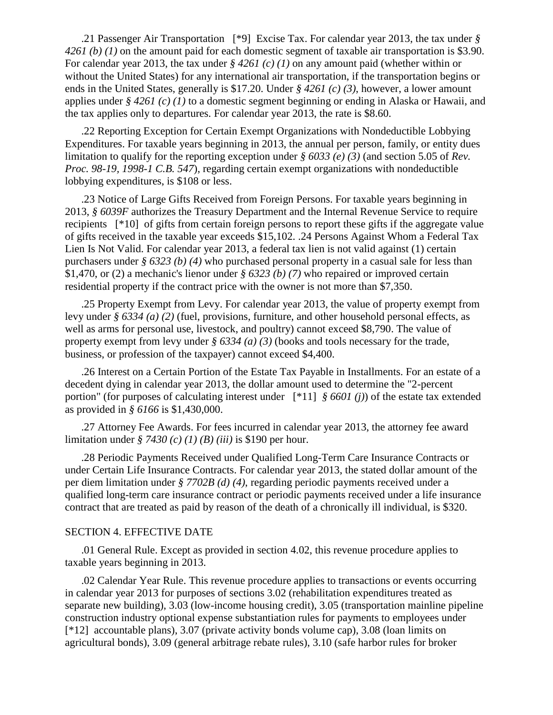.21 Passenger Air Transportation [\*9] Excise Tax. For calendar year 2013, the tax under *§ 4261 (b) (1)* on the amount paid for each domestic segment of taxable air transportation is \$3.90. For calendar year 2013, the tax under *§ 4261 (c) (1)* on any amount paid (whether within or without the United States) for any international air transportation, if the transportation begins or ends in the United States, generally is \$17.20. Under *§ 4261 (c) (3)*, however, a lower amount applies under *§ 4261 (c) (1)* to a domestic segment beginning or ending in Alaska or Hawaii, and the tax applies only to departures. For calendar year 2013, the rate is \$8.60.

.22 Reporting Exception for Certain Exempt Organizations with Nondeductible Lobbying Expenditures. For taxable years beginning in 2013, the annual per person, family, or entity dues limitation to qualify for the reporting exception under *§ 6033 (e) (3)* (and section 5.05 of *Rev. Proc. 98-19, 1998-1 C.B. 547*), regarding certain exempt organizations with nondeductible lobbying expenditures, is \$108 or less.

.23 Notice of Large Gifts Received from Foreign Persons. For taxable years beginning in 2013, *§ 6039F* authorizes the Treasury Department and the Internal Revenue Service to require recipients [\*10] of gifts from certain foreign persons to report these gifts if the aggregate value of gifts received in the taxable year exceeds \$15,102. .24 Persons Against Whom a Federal Tax Lien Is Not Valid. For calendar year 2013, a federal tax lien is not valid against (1) certain purchasers under *§ 6323 (b) (4)* who purchased personal property in a casual sale for less than \$1,470, or (2) a mechanic's lienor under *§ 6323 (b) (7)* who repaired or improved certain residential property if the contract price with the owner is not more than \$7,350.

.25 Property Exempt from Levy. For calendar year 2013, the value of property exempt from levy under *§ 6334 (a) (2)* (fuel, provisions, furniture, and other household personal effects, as well as arms for personal use, livestock, and poultry) cannot exceed \$8,790. The value of property exempt from levy under *§ 6334 (a) (3)* (books and tools necessary for the trade, business, or profession of the taxpayer) cannot exceed \$4,400.

.26 Interest on a Certain Portion of the Estate Tax Payable in Installments. For an estate of a decedent dying in calendar year 2013, the dollar amount used to determine the "2-percent portion" (for purposes of calculating interest under [\*11] *§ 6601 (j)*) of the estate tax extended as provided in *§ 6166* is \$1,430,000.

.27 Attorney Fee Awards. For fees incurred in calendar year 2013, the attorney fee award limitation under *§ 7430 (c) (1) (B) (iii)* is \$190 per hour.

.28 Periodic Payments Received under Qualified Long-Term Care Insurance Contracts or under Certain Life Insurance Contracts. For calendar year 2013, the stated dollar amount of the per diem limitation under *§ 7702B (d) (4)*, regarding periodic payments received under a qualified long-term care insurance contract or periodic payments received under a life insurance contract that are treated as paid by reason of the death of a chronically ill individual, is \$320.

#### SECTION 4. EFFECTIVE DATE

.01 General Rule. Except as provided in section 4.02, this revenue procedure applies to taxable years beginning in 2013.

.02 Calendar Year Rule. This revenue procedure applies to transactions or events occurring in calendar year 2013 for purposes of sections 3.02 (rehabilitation expenditures treated as separate new building), 3.03 (low-income housing credit), 3.05 (transportation mainline pipeline construction industry optional expense substantiation rules for payments to employees under [\*12] accountable plans), 3.07 (private activity bonds volume cap), 3.08 (loan limits on agricultural bonds), 3.09 (general arbitrage rebate rules), 3.10 (safe harbor rules for broker